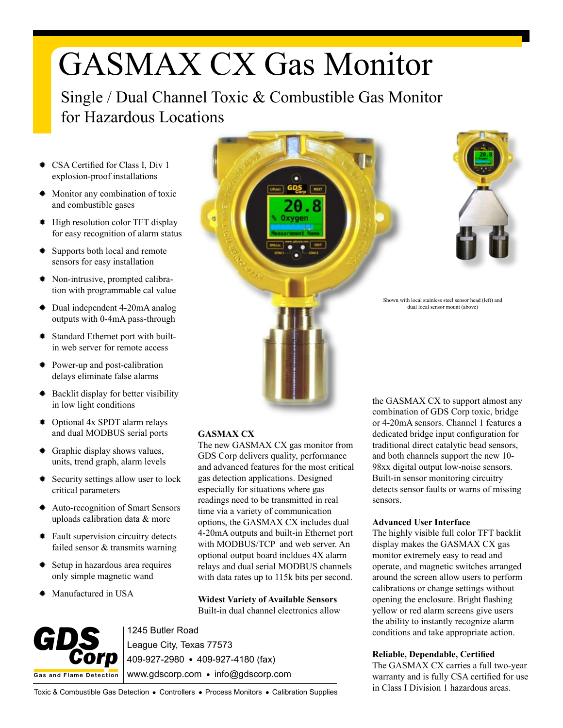# GASMAX CX Gas Monitor

Single / Dual Channel Toxic & Combustible Gas Monitor for Hazardous Locations

- ✹ CSA Certified for Class I, Div 1 explosion-proof installations
- ✹ Monitor any combination of toxic and combustible gases
- ✹ High resolution color TFT display for easy recognition of alarm status
- ✹ Supports both local and remote sensors for easy installation
- ✹ Non-intrusive, prompted calibration with programmable cal value
- ✹ Dual independent 4-20mA analog outputs with 0-4mA pass-through
- ✹ Standard Ethernet port with builtin web server for remote access
- ✹ Power-up and post-calibration delays eliminate false alarms
- ✹ Backlit display for better visibility in low light conditions
- ✹ Optional 4x SPDT alarm relays and dual MODBUS serial ports
- ✹ Graphic display shows values, units, trend graph, alarm levels
- ✹ Security settings allow user to lock critical parameters
- ✹ Auto-recognition of Smart Sensors uploads calibration data & more
- ✹ Fault supervision circuitry detects failed sensor & transmits warning
- ✹ Setup in hazardous area requires only simple magnetic wand
- ✹ Manufactured in USA





Shown with local stainless steel sensor head (left) and dual local sensor mount (above)

## **GASMAX CX**

The new GASMAX CX gas monitor from GDS Corp delivers quality, performance and advanced features for the most critical gas detection applications. Designed especially for situations where gas readings need to be transmitted in real time via a variety of communication options, the GASMAX CX includes dual 4-20mA outputs and built-in Ethernet port with MODBUS/TCP and web server. An optional output board incldues 4X alarm relays and dual serial MODBUS channels with data rates up to 115k bits per second.

**Widest Variety of Available Sensors** Built-in dual channel electronics allow



1245 Butler Road League City, Texas 77573 409-927-2980 409-927-4180 (fax) www.gdscorp.com • info@gdscorp.com the GASMAX CX to support almost any combination of GDS Corp toxic, bridge or 4-20mA sensors. Channel 1 features a dedicated bridge input configuration for traditional direct catalytic bead sensors, and both channels support the new 10- 98xx digital output low-noise sensors. Built-in sensor monitoring circuitry detects sensor faults or warns of missing sensors.

### **Advanced User Interface**

The highly visible full color TFT backlit display makes the GASMAX CX gas monitor extremely easy to read and operate, and magnetic switches arranged around the screen allow users to perform calibrations or change settings without opening the enclosure. Bright flashing yellow or red alarm screens give users the ability to instantly recognize alarm conditions and take appropriate action.

## **Reliable, Dependable, Certified**

The GASMAX CX carries a full two-year warranty and is fully CSA certified for use in Class I Division 1 hazardous areas.

Toxic & Combustible Gas Detection . Controllers . Process Monitors . Calibration Supplies